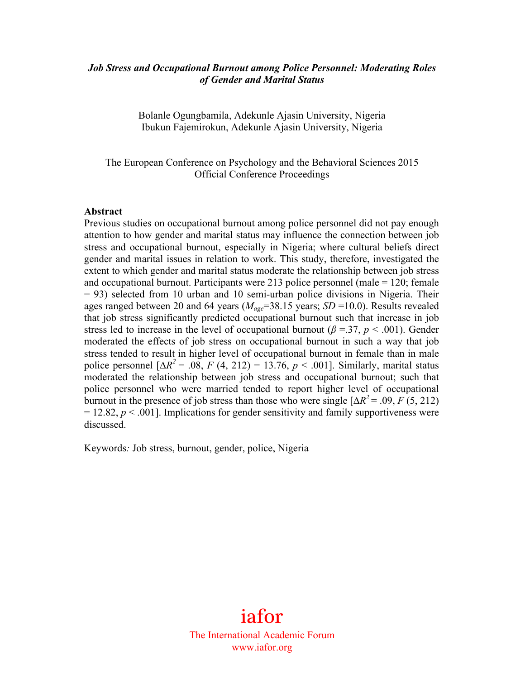### *Job Stress and Occupational Burnout among Police Personnel: Moderating Roles of Gender and Marital Status*

Bolanle Ogungbamila, Adekunle Ajasin University, Nigeria Ibukun Fajemirokun, Adekunle Ajasin University, Nigeria

The European Conference on Psychology and the Behavioral Sciences 2015 Official Conference Proceedings

#### **Abstract**

Previous studies on occupational burnout among police personnel did not pay enough attention to how gender and marital status may influence the connection between job stress and occupational burnout, especially in Nigeria; where cultural beliefs direct gender and marital issues in relation to work. This study, therefore, investigated the extent to which gender and marital status moderate the relationship between job stress and occupational burnout. Participants were 213 police personnel (male = 120; female = 93) selected from 10 urban and 10 semi-urban police divisions in Nigeria. Their ages ranged between 20 and 64 years (*Mage*=38.15 years; *SD* =10.0). Results revealed that job stress significantly predicted occupational burnout such that increase in job stress led to increase in the level of occupational burnout ( $\beta$  =.37,  $p$  < .001). Gender moderated the effects of job stress on occupational burnout in such a way that job stress tended to result in higher level of occupational burnout in female than in male police personnel  $[\Delta R^2 = .08, F (4, 212) = 13.76, p < .001]$ . Similarly, marital status moderated the relationship between job stress and occupational burnout; such that police personnel who were married tended to report higher level of occupational burnout in the presence of job stress than those who were single  $[\Delta R^2 = .09, F(5, 212)$  $= 12.82, p \le 0.001$ . Implications for gender sensitivity and family supportiveness were discussed.

Keywords*:* Job stress, burnout, gender, police, Nigeria

iafor The International Academic Forum www.iafor.org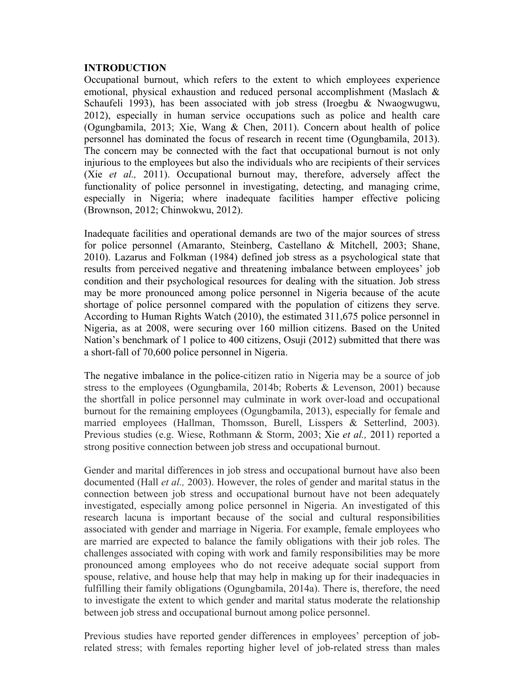### **INTRODUCTION**

Occupational burnout, which refers to the extent to which employees experience emotional, physical exhaustion and reduced personal accomplishment (Maslach & Schaufeli 1993), has been associated with job stress (Iroegbu & Nwaogwugwu, 2012), especially in human service occupations such as police and health care (Ogungbamila, 2013; Xie, Wang & Chen, 2011). Concern about health of police personnel has dominated the focus of research in recent time (Ogungbamila, 2013). The concern may be connected with the fact that occupational burnout is not only injurious to the employees but also the individuals who are recipients of their services (Xie *et al.,* 2011). Occupational burnout may, therefore, adversely affect the functionality of police personnel in investigating, detecting, and managing crime, especially in Nigeria; where inadequate facilities hamper effective policing (Brownson, 2012; Chinwokwu, 2012).

Inadequate facilities and operational demands are two of the major sources of stress for police personnel (Amaranto, Steinberg, Castellano & Mitchell, 2003; Shane, 2010). Lazarus and Folkman (1984) defined job stress as a psychological state that results from perceived negative and threatening imbalance between employees' job condition and their psychological resources for dealing with the situation. Job stress may be more pronounced among police personnel in Nigeria because of the acute shortage of police personnel compared with the population of citizens they serve. According to Human Rights Watch (2010), the estimated 311,675 police personnel in Nigeria, as at 2008, were securing over 160 million citizens. Based on the United Nation's benchmark of 1 police to 400 citizens, Osuji (2012) submitted that there was a short-fall of 70,600 police personnel in Nigeria.

The negative imbalance in the police-citizen ratio in Nigeria may be a source of job stress to the employees (Ogungbamila, 2014b; Roberts & Levenson, 2001) because the shortfall in police personnel may culminate in work over-load and occupational burnout for the remaining employees (Ogungbamila, 2013), especially for female and married employees (Hallman, Thomsson, Burell, Lisspers & Setterlind, 2003). Previous studies (e.g. Wiese, Rothmann & Storm, 2003; Xie *et al.,* 2011) reported a strong positive connection between job stress and occupational burnout.

Gender and marital differences in job stress and occupational burnout have also been documented (Hall *et al.,* 2003). However, the roles of gender and marital status in the connection between job stress and occupational burnout have not been adequately investigated, especially among police personnel in Nigeria. An investigated of this research lacuna is important because of the social and cultural responsibilities associated with gender and marriage in Nigeria. For example, female employees who are married are expected to balance the family obligations with their job roles. The challenges associated with coping with work and family responsibilities may be more pronounced among employees who do not receive adequate social support from spouse, relative, and house help that may help in making up for their inadequacies in fulfilling their family obligations (Ogungbamila, 2014a). There is, therefore, the need to investigate the extent to which gender and marital status moderate the relationship between job stress and occupational burnout among police personnel.

Previous studies have reported gender differences in employees' perception of jobrelated stress; with females reporting higher level of job-related stress than males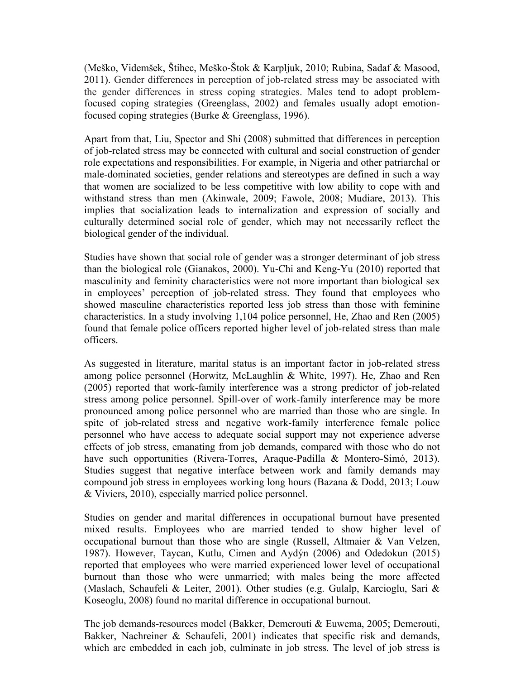(Meško, Videmšek, Štihec, Meško-Štok & Karpljuk, 2010; Rubina, Sadaf & Masood, 2011). Gender differences in perception of job-related stress may be associated with the gender differences in stress coping strategies. Males tend to adopt problemfocused coping strategies (Greenglass, 2002) and females usually adopt emotionfocused coping strategies (Burke & Greenglass, 1996).

Apart from that, Liu, Spector and Shi (2008) submitted that differences in perception of job-related stress may be connected with cultural and social construction of gender role expectations and responsibilities. For example, in Nigeria and other patriarchal or male-dominated societies, gender relations and stereotypes are defined in such a way that women are socialized to be less competitive with low ability to cope with and withstand stress than men (Akinwale, 2009; Fawole, 2008; Mudiare, 2013). This implies that socialization leads to internalization and expression of socially and culturally determined social role of gender, which may not necessarily reflect the biological gender of the individual.

Studies have shown that social role of gender was a stronger determinant of job stress than the biological role (Gianakos, 2000). Yu-Chi and Keng-Yu (2010) reported that masculinity and feminity characteristics were not more important than biological sex in employees' perception of job-related stress. They found that employees who showed masculine characteristics reported less job stress than those with feminine characteristics. In a study involving 1,104 police personnel, He, Zhao and Ren (2005) found that female police officers reported higher level of job-related stress than male officers.

As suggested in literature, marital status is an important factor in job-related stress among police personnel (Horwitz, McLaughlin & White, 1997). He, Zhao and Ren (2005) reported that work-family interference was a strong predictor of job-related stress among police personnel. Spill-over of work-family interference may be more pronounced among police personnel who are married than those who are single. In spite of job-related stress and negative work-family interference female police personnel who have access to adequate social support may not experience adverse effects of job stress, emanating from job demands, compared with those who do not have such opportunities (Rivera-Torres, Araque-Padilla & Montero-Simó, 2013). Studies suggest that negative interface between work and family demands may compound job stress in employees working long hours (Bazana & Dodd, 2013; Louw & Viviers, 2010), especially married police personnel.

Studies on gender and marital differences in occupational burnout have presented mixed results. Employees who are married tended to show higher level of occupational burnout than those who are single (Russell, Altmaier & Van Velzen, 1987). However, Taycan, Kutlu, Cimen and Aydýn (2006) and Odedokun (2015) reported that employees who were married experienced lower level of occupational burnout than those who were unmarried; with males being the more affected (Maslach, Schaufeli & Leiter, 2001). Other studies (e.g. Gulalp, Karcioglu, Sari & Koseoglu, 2008) found no marital difference in occupational burnout.

The job demands-resources model (Bakker, Demerouti & Euwema, 2005; Demerouti, Bakker, Nachreiner & Schaufeli, 2001) indicates that specific risk and demands, which are embedded in each job, culminate in job stress. The level of job stress is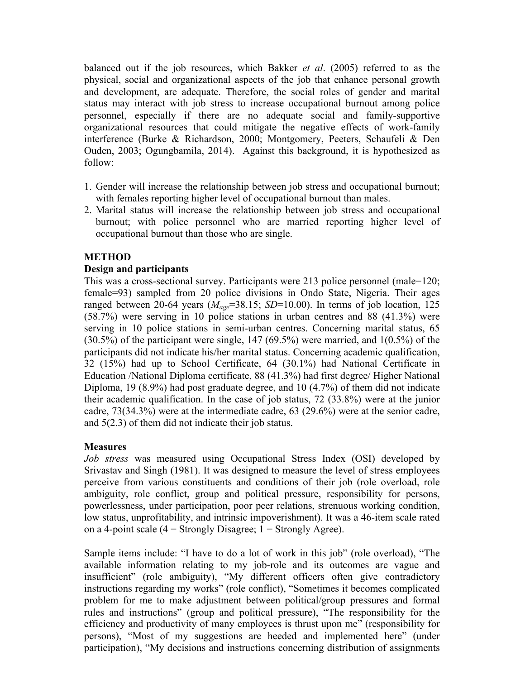balanced out if the job resources, which Bakker *et al*. (2005) referred to as the physical, social and organizational aspects of the job that enhance personal growth and development, are adequate. Therefore, the social roles of gender and marital status may interact with job stress to increase occupational burnout among police personnel, especially if there are no adequate social and family-supportive organizational resources that could mitigate the negative effects of work-family interference (Burke & Richardson, 2000; Montgomery, Peeters, Schaufeli & Den Ouden, 2003; Ogungbamila, 2014). Against this background, it is hypothesized as follow:

- 1. Gender will increase the relationship between job stress and occupational burnout; with females reporting higher level of occupational burnout than males.
- 2. Marital status will increase the relationship between job stress and occupational burnout; with police personnel who are married reporting higher level of occupational burnout than those who are single.

# **METHOD**

# **Design and participants**

This was a cross-sectional survey. Participants were 213 police personnel (male=120; female=93) sampled from 20 police divisions in Ondo State, Nigeria. Their ages ranged between 20-64 years  $(M_{age}=38.15; SD=10.00)$ . In terms of job location, 125 (58.7%) were serving in 10 police stations in urban centres and 88 (41.3%) were serving in 10 police stations in semi-urban centres. Concerning marital status, 65 (30.5%) of the participant were single, 147 (69.5%) were married, and 1(0.5%) of the participants did not indicate his/her marital status. Concerning academic qualification, 32 (15%) had up to School Certificate, 64 (30.1%) had National Certificate in Education /National Diploma certificate, 88 (41.3%) had first degree/ Higher National Diploma, 19 (8.9%) had post graduate degree, and 10 (4.7%) of them did not indicate their academic qualification. In the case of job status, 72 (33.8%) were at the junior cadre, 73(34.3%) were at the intermediate cadre, 63 (29.6%) were at the senior cadre, and 5(2.3) of them did not indicate their job status.

### **Measures**

*Job stress* was measured using Occupational Stress Index (OSI) developed by Srivastav and Singh (1981). It was designed to measure the level of stress employees perceive from various constituents and conditions of their job (role overload, role ambiguity, role conflict, group and political pressure, responsibility for persons, powerlessness, under participation, poor peer relations, strenuous working condition, low status, unprofitability, and intrinsic impoverishment). It was a 46-item scale rated on a 4-point scale  $(4 =$  Strongly Disagree;  $1 =$  Strongly Agree).

Sample items include: "I have to do a lot of work in this job" (role overload), "The available information relating to my job-role and its outcomes are vague and insufficient" (role ambiguity), "My different officers often give contradictory instructions regarding my works" (role conflict), "Sometimes it becomes complicated problem for me to make adjustment between political/group pressures and formal rules and instructions" (group and political pressure), "The responsibility for the efficiency and productivity of many employees is thrust upon me" (responsibility for persons), "Most of my suggestions are heeded and implemented here" (under participation), "My decisions and instructions concerning distribution of assignments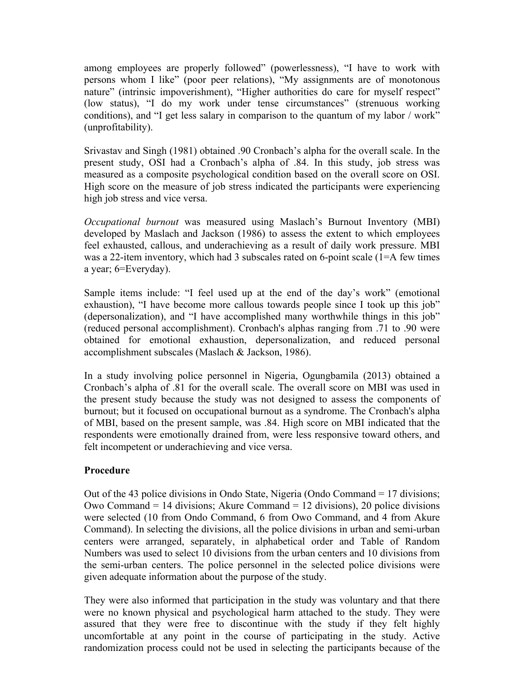among employees are properly followed" (powerlessness), "I have to work with persons whom I like" (poor peer relations), "My assignments are of monotonous nature" (intrinsic impoverishment), "Higher authorities do care for myself respect" (low status), "I do my work under tense circumstances" (strenuous working conditions), and "I get less salary in comparison to the quantum of my labor / work" (unprofitability).

Srivastav and Singh (1981) obtained .90 Cronbach's alpha for the overall scale. In the present study, OSI had a Cronbach's alpha of .84. In this study, job stress was measured as a composite psychological condition based on the overall score on OSI. High score on the measure of job stress indicated the participants were experiencing high job stress and vice versa.

*Occupational burnout* was measured using Maslach's Burnout Inventory (MBI) developed by Maslach and Jackson (1986) to assess the extent to which employees feel exhausted, callous, and underachieving as a result of daily work pressure. MBI was a 22-item inventory, which had 3 subscales rated on 6-point scale (1=A few times a year; 6=Everyday).

Sample items include: "I feel used up at the end of the day's work" (emotional exhaustion), "I have become more callous towards people since I took up this job" (depersonalization), and "I have accomplished many worthwhile things in this job" (reduced personal accomplishment). Cronbach's alphas ranging from .71 to .90 were obtained for emotional exhaustion, depersonalization, and reduced personal accomplishment subscales (Maslach & Jackson, 1986).

In a study involving police personnel in Nigeria, Ogungbamila (2013) obtained a Cronbach's alpha of .81 for the overall scale. The overall score on MBI was used in the present study because the study was not designed to assess the components of burnout; but it focused on occupational burnout as a syndrome. The Cronbach's alpha of MBI, based on the present sample, was .84. High score on MBI indicated that the respondents were emotionally drained from, were less responsive toward others, and felt incompetent or underachieving and vice versa.

### **Procedure**

Out of the 43 police divisions in Ondo State, Nigeria (Ondo Command = 17 divisions; Owo Command = 14 divisions; Akure Command = 12 divisions), 20 police divisions were selected (10 from Ondo Command, 6 from Owo Command, and 4 from Akure Command). In selecting the divisions, all the police divisions in urban and semi-urban centers were arranged, separately, in alphabetical order and Table of Random Numbers was used to select 10 divisions from the urban centers and 10 divisions from the semi-urban centers. The police personnel in the selected police divisions were given adequate information about the purpose of the study.

They were also informed that participation in the study was voluntary and that there were no known physical and psychological harm attached to the study. They were assured that they were free to discontinue with the study if they felt highly uncomfortable at any point in the course of participating in the study. Active randomization process could not be used in selecting the participants because of the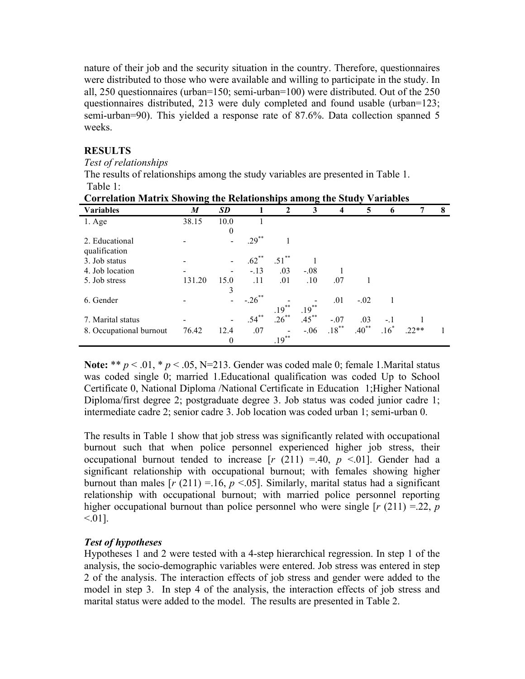nature of their job and the security situation in the country. Therefore, questionnaires were distributed to those who were available and willing to participate in the study. In all, 250 questionnaires (urban=150; semi-urban=100) were distributed. Out of the 250 questionnaires distributed, 213 were duly completed and found usable (urban=123; semi-urban=90). This yielded a response rate of 87.6%. Data collection spanned 5 weeks.

### **RESULTS**

*Test of relationships*

The results of relationships among the study variables are presented in Table 1. Table 1:

| <br>$-$<br>$\sim$       |        |                          |          |                     |          |                    |            |             |        |   |
|-------------------------|--------|--------------------------|----------|---------------------|----------|--------------------|------------|-------------|--------|---|
| <b>Variables</b>        | M      | <b>SD</b>                |          | $\mathbf{2}$        | 3        | $\overline{\bf 4}$ | 5          | $\mathbf b$ |        | 8 |
| $1. \text{Age}$         | 38.15  | 10.0                     |          |                     |          |                    |            |             |        |   |
|                         |        | 0                        |          |                     |          |                    |            |             |        |   |
| 2. Educational          |        |                          | $.29***$ | 1                   |          |                    |            |             |        |   |
| qualification           |        |                          |          |                     |          |                    |            |             |        |   |
| 3. Job status           |        | $\overline{\phantom{a}}$ | $.62***$ | $.51$ <sup>**</sup> |          |                    |            |             |        |   |
| 4. Job location         |        |                          | $-.13$   | .03                 | $-.08$   |                    |            |             |        |   |
| 5. Job stress           | 131.20 | 15.0                     | .11      | .01                 | .10      | .07                |            |             |        |   |
|                         |        | 3                        |          |                     |          |                    |            |             |        |   |
| 6. Gender               |        |                          | $-.26$   |                     |          | .01                | $-.02$     |             |        |   |
|                         |        |                          |          | $.19***$            | $.19***$ |                    |            |             |        |   |
| 7. Marital status       |        | $\overline{\phantom{a}}$ | $.54***$ | $.26***$            | $.45***$ | $-.07$             | .03        | $-.1$       |        |   |
| 8. Occupational burnout | 76.42  | 12.4                     | .07      |                     | $-.06$   | $.18***$           | $.40^{**}$ | $.16*$      | $22**$ |   |
|                         |        | $\theta$                 |          | $.19***$            |          |                    |            |             |        |   |

|  |  | <b>Correlation Matrix Showing the Relationships among the Study Variables</b> |
|--|--|-------------------------------------------------------------------------------|
|  |  |                                                                               |

**Note:** \*\*  $p < .01$ , \*  $p < .05$ , N=213. Gender was coded male 0; female 1. Marital status was coded single 0; married 1.Educational qualification was coded Up to School Certificate 0, National Diploma /National Certificate in Education 1;Higher National Diploma/first degree 2; postgraduate degree 3. Job status was coded junior cadre 1; intermediate cadre 2; senior cadre 3. Job location was coded urban 1; semi-urban 0.

The results in Table 1 show that job stress was significantly related with occupational burnout such that when police personnel experienced higher job stress, their occupational burnout tended to increase  $[r (211) = .40, p < .01]$ . Gender had a significant relationship with occupational burnout; with females showing higher burnout than males  $[r (211) = 16, p < 0.05]$ . Similarly, marital status had a significant relationship with occupational burnout; with married police personnel reporting higher occupational burnout than police personnel who were single  $[r (211) = 22, p$  $< 01$ ].

### *Test of hypotheses*

Hypotheses 1 and 2 were tested with a 4-step hierarchical regression. In step 1 of the analysis, the socio-demographic variables were entered. Job stress was entered in step 2 of the analysis. The interaction effects of job stress and gender were added to the model in step 3. In step 4 of the analysis, the interaction effects of job stress and marital status were added to the model. The results are presented in Table 2.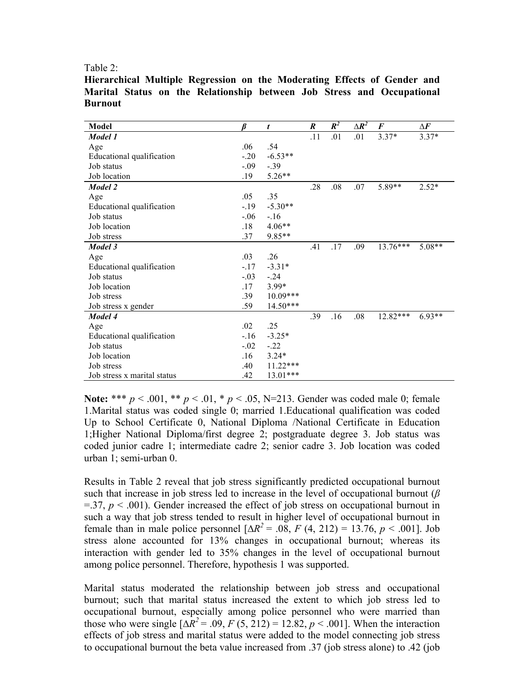Table 2:

| Model                       |        | t          | $\boldsymbol{R}$ | $R^2$ | $\Delta \boldsymbol{R}^2$ | $\boldsymbol{F}$ | $\Delta \pmb{F}$ |
|-----------------------------|--------|------------|------------------|-------|---------------------------|------------------|------------------|
| Model 1                     |        |            | .11              | .01   | .01                       | $3.37*$          | $3.37*$          |
| Age                         | .06    | .54        |                  |       |                           |                  |                  |
| Educational qualification   | $-20$  | $-6.53**$  |                  |       |                           |                  |                  |
| Job status                  | $-.09$ | $-0.39$    |                  |       |                           |                  |                  |
| Job location                | .19    | $5.26**$   |                  |       |                           |                  |                  |
| Model 2                     |        |            | .28              | .08   | .07                       | 5.89**           | $2.52*$          |
| Age                         | .05    | .35        |                  |       |                           |                  |                  |
| Educational qualification   | $-19$  | $-5.30**$  |                  |       |                           |                  |                  |
| Job status                  | $-.06$ | $-16$      |                  |       |                           |                  |                  |
| Job location                | .18    | 4.06**     |                  |       |                           |                  |                  |
| Job stress                  | .37    | 9.85**     |                  |       |                           |                  |                  |
| Model 3                     |        |            | .41              | .17   | .09                       | $13.76***$       | $5.08**$         |
| Age                         | .03    | .26        |                  |       |                           |                  |                  |
| Educational qualification   | $-17$  | $-3.31*$   |                  |       |                           |                  |                  |
| Job status                  | $-.03$ | $-24$      |                  |       |                           |                  |                  |
| Job location                | .17    | 3.99*      |                  |       |                           |                  |                  |
| Job stress                  | .39    | $10.09***$ |                  |       |                           |                  |                  |
| Job stress x gender         | .59    | 14.50***   |                  |       |                           |                  |                  |
| Model 4                     |        |            | .39              | .16   | .08                       | 12.82***         | $6.93**$         |
| Age                         | .02    | .25        |                  |       |                           |                  |                  |
| Educational qualification   | $-16$  | $-3.25*$   |                  |       |                           |                  |                  |
| Job status                  | $-.02$ | $-22$      |                  |       |                           |                  |                  |
| Job location                | .16    | $3.24*$    |                  |       |                           |                  |                  |
| Job stress                  | .40    | 11.22***   |                  |       |                           |                  |                  |
| Job stress x marital status | .42    | $13.01***$ |                  |       |                           |                  |                  |

**Hierarchical Multiple Regression on the Moderating Effects of Gender and Marital Status on the Relationship between Job Stress and Occupational Burnout** 

**Note:** \*\*\* *p* < .001, \*\* *p* < .01, \* *p* < .05, N=213. Gender was coded male 0; female 1.Marital status was coded single 0; married 1.Educational qualification was coded Up to School Certificate 0, National Diploma /National Certificate in Education 1;Higher National Diploma/first degree 2; postgraduate degree 3. Job status was coded junior cadre 1; intermediate cadre 2; senior cadre 3. Job location was coded urban 1; semi-urban 0.

Results in Table 2 reveal that job stress significantly predicted occupational burnout such that increase in job stress led to increase in the level of occupational burnout (*β*  $=$ .37,  $p < .001$ ). Gender increased the effect of job stress on occupational burnout in such a way that job stress tended to result in higher level of occupational burnout in female than in male police personnel  $[\Delta R^2 = .08, F (4, 212) = 13.76, p < .001]$ . Job stress alone accounted for 13% changes in occupational burnout; whereas its interaction with gender led to 35% changes in the level of occupational burnout among police personnel. Therefore, hypothesis 1 was supported.

Marital status moderated the relationship between job stress and occupational burnout; such that marital status increased the extent to which job stress led to occupational burnout, especially among police personnel who were married than those who were single  $[\Delta R^2 = .09, F(5, 212) = 12.82, p < .001]$ . When the interaction effects of job stress and marital status were added to the model connecting job stress to occupational burnout the beta value increased from .37 (job stress alone) to .42 (job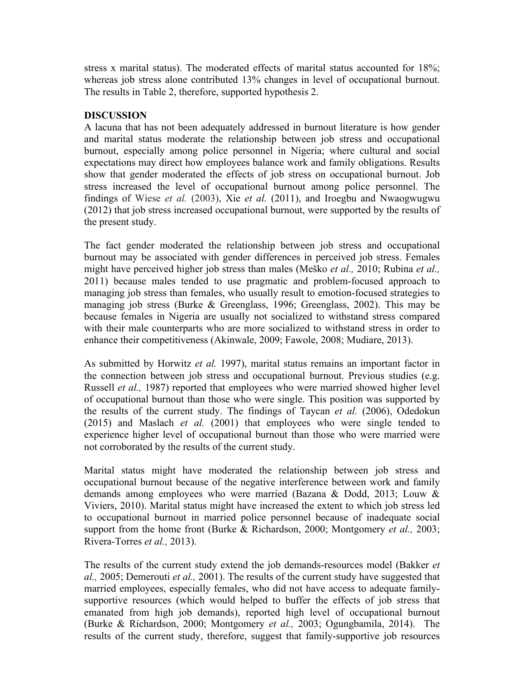stress x marital status). The moderated effects of marital status accounted for 18%; whereas job stress alone contributed 13% changes in level of occupational burnout. The results in Table 2, therefore, supported hypothesis 2.

## **DISCUSSION**

A lacuna that has not been adequately addressed in burnout literature is how gender and marital status moderate the relationship between job stress and occupational burnout, especially among police personnel in Nigeria; where cultural and social expectations may direct how employees balance work and family obligations. Results show that gender moderated the effects of job stress on occupational burnout. Job stress increased the level of occupational burnout among police personnel. The findings of Wiese *et al.* (2003), Xie *et al.* (2011), and Iroegbu and Nwaogwugwu (2012) that job stress increased occupational burnout, were supported by the results of the present study.

The fact gender moderated the relationship between job stress and occupational burnout may be associated with gender differences in perceived job stress. Females might have perceived higher job stress than males (Meško *et al.,* 2010; Rubina *et al.,* 2011) because males tended to use pragmatic and problem-focused approach to managing job stress than females, who usually result to emotion-focused strategies to managing job stress (Burke & Greenglass, 1996; Greenglass, 2002). This may be because females in Nigeria are usually not socialized to withstand stress compared with their male counterparts who are more socialized to withstand stress in order to enhance their competitiveness (Akinwale, 2009; Fawole, 2008; Mudiare, 2013).

As submitted by Horwitz *et al.* 1997), marital status remains an important factor in the connection between job stress and occupational burnout. Previous studies (e.g. Russell *et al.,* 1987) reported that employees who were married showed higher level of occupational burnout than those who were single. This position was supported by the results of the current study. The findings of Taycan *et al.* (2006), Odedokun (2015) and Maslach *et al.* (2001) that employees who were single tended to experience higher level of occupational burnout than those who were married were not corroborated by the results of the current study.

Marital status might have moderated the relationship between job stress and occupational burnout because of the negative interference between work and family demands among employees who were married (Bazana & Dodd, 2013; Louw & Viviers, 2010). Marital status might have increased the extent to which job stress led to occupational burnout in married police personnel because of inadequate social support from the home front (Burke & Richardson, 2000; Montgomery *et al.,* 2003; Rivera-Torres *et al.,* 2013).

The results of the current study extend the job demands-resources model (Bakker *et al.,* 2005; Demerouti *et al.,* 2001). The results of the current study have suggested that married employees, especially females, who did not have access to adequate familysupportive resources (which would helped to buffer the effects of job stress that emanated from high job demands), reported high level of occupational burnout (Burke & Richardson, 2000; Montgomery *et al.,* 2003; Ogungbamila, 2014). The results of the current study, therefore, suggest that family-supportive job resources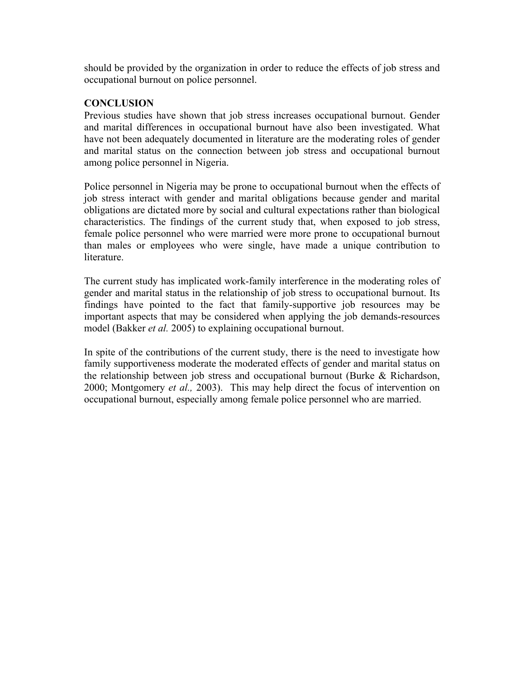should be provided by the organization in order to reduce the effects of job stress and occupational burnout on police personnel.

### **CONCLUSION**

Previous studies have shown that job stress increases occupational burnout. Gender and marital differences in occupational burnout have also been investigated. What have not been adequately documented in literature are the moderating roles of gender and marital status on the connection between job stress and occupational burnout among police personnel in Nigeria.

Police personnel in Nigeria may be prone to occupational burnout when the effects of job stress interact with gender and marital obligations because gender and marital obligations are dictated more by social and cultural expectations rather than biological characteristics. The findings of the current study that, when exposed to job stress, female police personnel who were married were more prone to occupational burnout than males or employees who were single, have made a unique contribution to literature.

The current study has implicated work-family interference in the moderating roles of gender and marital status in the relationship of job stress to occupational burnout. Its findings have pointed to the fact that family-supportive job resources may be important aspects that may be considered when applying the job demands-resources model (Bakker *et al.* 2005) to explaining occupational burnout.

In spite of the contributions of the current study, there is the need to investigate how family supportiveness moderate the moderated effects of gender and marital status on the relationship between job stress and occupational burnout (Burke & Richardson, 2000; Montgomery *et al.,* 2003). This may help direct the focus of intervention on occupational burnout, especially among female police personnel who are married.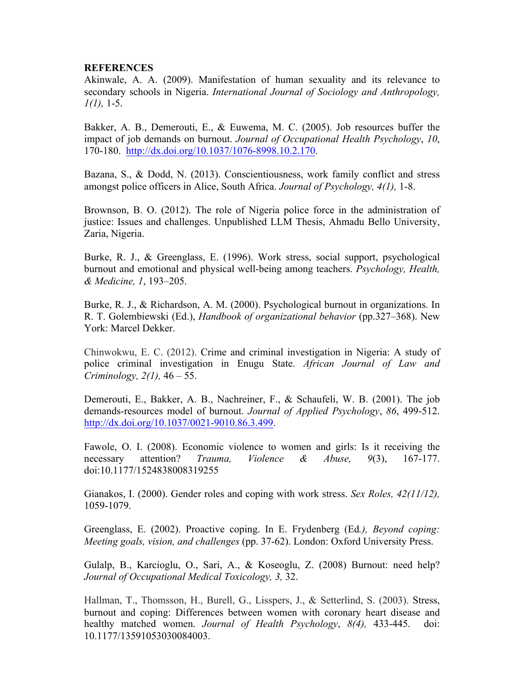### **REFERENCES**

Akinwale, A. A. (2009). Manifestation of human sexuality and its relevance to secondary schools in Nigeria. *International Journal of Sociology and Anthropology, 1(1),* 1-5.

Bakker, A. B., Demerouti, E., & Euwema, M. C. (2005). Job resources buffer the impact of job demands on burnout. *Journal of Occupational Health Psychology*, *10*, 170-180. http://dx.doi.org/10.1037/1076-8998.10.2.170.

Bazana, S., & Dodd, N. (2013). Conscientiousness, work family conflict and stress amongst police officers in Alice, South Africa. *Journal of Psychology, 4(1),* 1-8.

Brownson, B. O. (2012). The role of Nigeria police force in the administration of justice: Issues and challenges. Unpublished LLM Thesis, Ahmadu Bello University, Zaria, Nigeria.

Burke, R. J., & Greenglass, E. (1996). Work stress, social support, psychological burnout and emotional and physical well-being among teachers. *Psychology, Health, & Medicine, 1*, 193–205.

Burke, R. J., & Richardson, A. M. (2000). Psychological burnout in organizations. In R. T. Golembiewski (Ed.), *Handbook of organizational behavior* (pp.327–368). New York: Marcel Dekker.

Chinwokwu, E. C. (2012). Crime and criminal investigation in Nigeria: A study of police criminal investigation in Enugu State. *African Journal of Law and Criminology, 2(1),* 46 – 55.

Demerouti, E., Bakker, A. B., Nachreiner, F., & Schaufeli, W. B. (2001). The job demands-resources model of burnout. *Journal of Applied Psychology*, *86*, 499-512. http://dx.doi.org/10.1037/0021-9010.86.3.499.

Fawole, O. I. (2008). Economic violence to women and girls: Is it receiving the necessary attention? *Trauma, Violence & Abuse, 9*(3), 167-177. doi:10.1177/1524838008319255

Gianakos, I. (2000). Gender roles and coping with work stress. *Sex Roles, 42(11/12),*  1059-1079.

Greenglass, E. (2002). Proactive coping. In E. Frydenberg (Ed*.), Beyond coping: Meeting goals, vision, and challenges* (pp. 37-62). London: Oxford University Press.

Gulalp, B., Karcioglu, O., Sari, A., & Koseoglu, Z. (2008) Burnout: need help? *Journal of Occupational Medical Toxicology, 3,* 32.

Hallman, T., Thomsson, H., Burell, G., Lisspers, J., & Setterlind, S. (2003). Stress, burnout and coping: Differences between women with coronary heart disease and healthy matched women. *Journal of Health Psychology*, *8(4),* 433-445. doi: 10.1177/13591053030084003.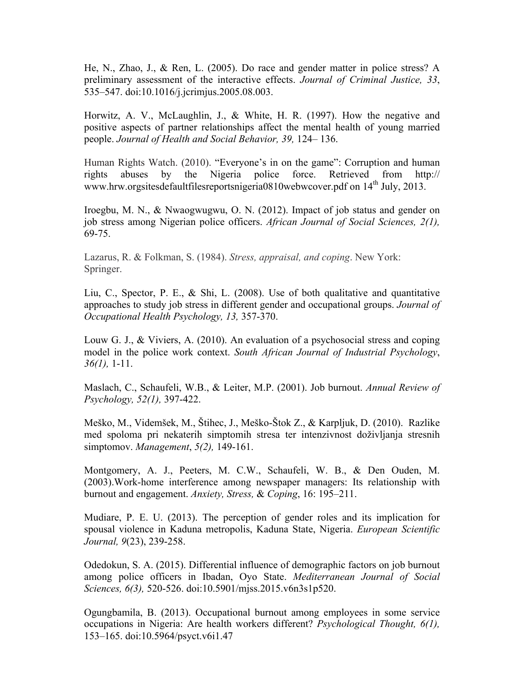He, N., Zhao, J., & Ren, L. (2005). Do race and gender matter in police stress? A preliminary assessment of the interactive effects. *Journal of Criminal Justice, 33*, 535–547. doi:10.1016/j.jcrimjus.2005.08.003.

Horwitz, A. V., McLaughlin, J., & White, H. R. (1997). How the negative and positive aspects of partner relationships affect the mental health of young married people. *Journal of Health and Social Behavior, 39,* 124– 136.

Human Rights Watch. (2010). "Everyone's in on the game": Corruption and human rights abuses by the Nigeria police force. Retrieved from http:// www.hrw.orgsitesdefaultfilesreportsnigeria0810webwcover.pdf on 14<sup>th</sup> July, 2013.

Iroegbu, M. N., & Nwaogwugwu, O. N. (2012). Impact of job status and gender on job stress among Nigerian police officers. *African Journal of Social Sciences, 2(1),* 69-75.

Lazarus, R. & Folkman, S. (1984). *Stress, appraisal, and coping*. New York: Springer.

Liu, C., Spector, P. E., & Shi, L. (2008). Use of both qualitative and quantitative approaches to study job stress in different gender and occupational groups. *Journal of Occupational Health Psychology, 13,* 357-370.

Louw G. J., & Viviers, A. (2010). An evaluation of a psychosocial stress and coping model in the police work context. *South African Journal of Industrial Psychology*, *36(1),* 1-11.

Maslach, C., Schaufeli, W.B., & Leiter, M.P. (2001). Job burnout. *Annual Review of Psychology, 52(1),* 397-422.

Meško, M., Videmšek, M., Štihec, J., Meško-Štok Z., & Karpljuk, D. (2010). Razlike med spoloma pri nekaterih simptomih stresa ter intenzivnost doživljanja stresnih simptomov. *Management*, *5(2),* 149-161.

Montgomery, A. J., Peeters, M. C.W., Schaufeli, W. B., & Den Ouden, M. (2003).Work-home interference among newspaper managers: Its relationship with burnout and engagement. *Anxiety, Stress,* & *Coping*, 16: 195–211.

Mudiare, P. E. U. (2013). The perception of gender roles and its implication for spousal violence in Kaduna metropolis, Kaduna State, Nigeria. *European Scientific Journal, 9*(23), 239-258.

Odedokun, S. A. (2015). Differential influence of demographic factors on job burnout among police officers in Ibadan, Oyo State. *Mediterranean Journal of Social Sciences, 6(3),* 520-526. doi:10.5901/mjss.2015.v6n3s1p520.

Ogungbamila, B. (2013). Occupational burnout among employees in some service occupations in Nigeria: Are health workers different? *Psychological Thought, 6(1),*  153–165. doi:10.5964/psyct.v6i1.47